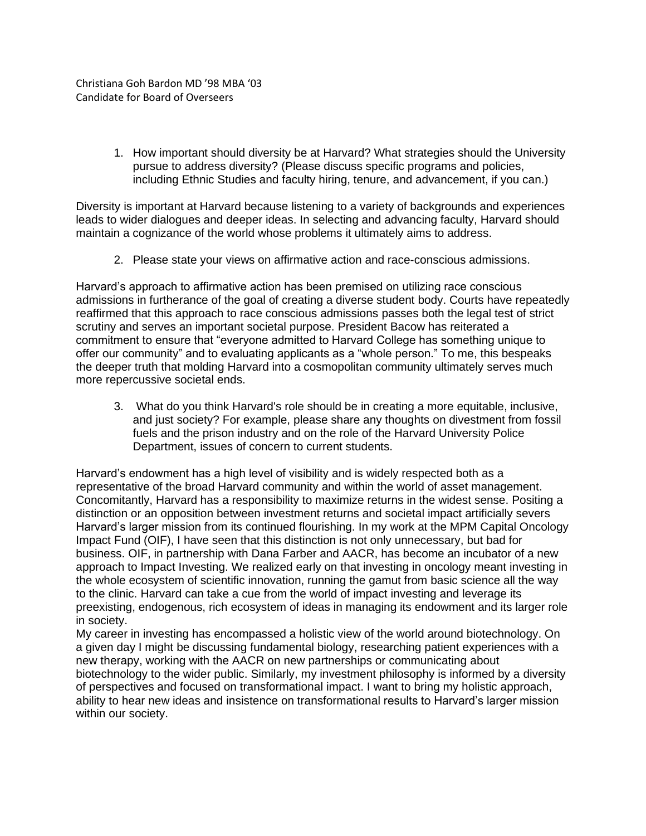Christiana Goh Bardon MD '98 MBA '03 Candidate for Board of Overseers

> 1. How important should diversity be at Harvard? What strategies should the University pursue to address diversity? (Please discuss specific programs and policies, including Ethnic Studies and faculty hiring, tenure, and advancement, if you can.)

Diversity is important at Harvard because listening to a variety of backgrounds and experiences leads to wider dialogues and deeper ideas. In selecting and advancing faculty, Harvard should maintain a cognizance of the world whose problems it ultimately aims to address.

2. Please state your views on affirmative action and race-conscious admissions.

Harvard's approach to affirmative action has been premised on utilizing race conscious admissions in furtherance of the goal of creating a diverse student body. Courts have repeatedly reaffirmed that this approach to race conscious admissions passes both the legal test of strict scrutiny and serves an important societal purpose. President Bacow has reiterated a commitment to ensure that "everyone admitted to Harvard College has something unique to offer our community" and to evaluating applicants as a "whole person." To me, this bespeaks the deeper truth that molding Harvard into a cosmopolitan community ultimately serves much more repercussive societal ends.

3. What do you think Harvard's role should be in creating a more equitable, inclusive, and just society? For example, please share any thoughts on divestment from fossil fuels and the prison industry and on the role of the Harvard University Police Department, issues of concern to current students.

Harvard's endowment has a high level of visibility and is widely respected both as a representative of the broad Harvard community and within the world of asset management. Concomitantly, Harvard has a responsibility to maximize returns in the widest sense. Positing a distinction or an opposition between investment returns and societal impact artificially severs Harvard's larger mission from its continued flourishing. In my work at the MPM Capital Oncology Impact Fund (OIF), I have seen that this distinction is not only unnecessary, but bad for business. OIF, in partnership with Dana Farber and AACR, has become an incubator of a new approach to Impact Investing. We realized early on that investing in oncology meant investing in the whole ecosystem of scientific innovation, running the gamut from basic science all the way to the clinic. Harvard can take a cue from the world of impact investing and leverage its preexisting, endogenous, rich ecosystem of ideas in managing its endowment and its larger role in society.

My career in investing has encompassed a holistic view of the world around biotechnology. On a given day I might be discussing fundamental biology, researching patient experiences with a new therapy, working with the AACR on new partnerships or communicating about biotechnology to the wider public. Similarly, my investment philosophy is informed by a diversity of perspectives and focused on transformational impact. I want to bring my holistic approach, ability to hear new ideas and insistence on transformational results to Harvard's larger mission within our society.